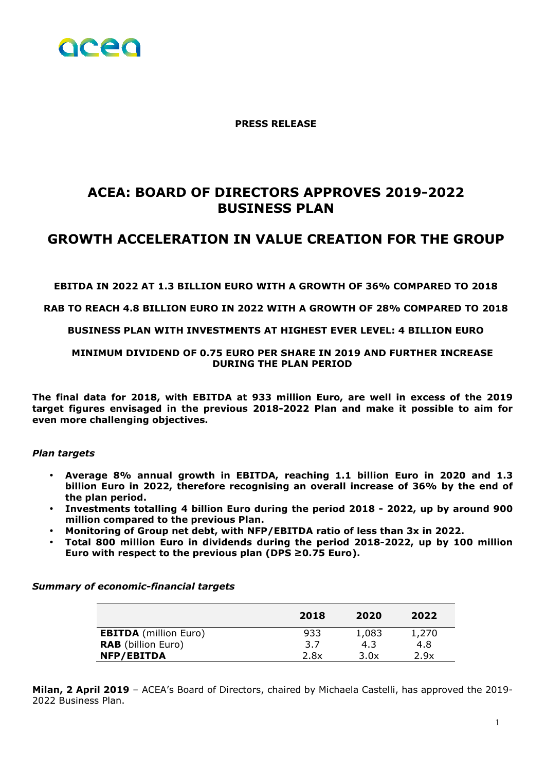

**PRESS RELEASE** 

# **ACEA: BOARD OF DIRECTORS APPROVES 2019-2022 BUSINESS PLAN**

## **GROWTH ACCELERATION IN VALUE CREATION FOR THE GROUP**

**EBITDA IN 2022 AT 1.3 BILLION EURO WITH A GROWTH OF 36% COMPARED TO 2018** 

#### **RAB TO REACH 4.8 BILLION EURO IN 2022 WITH A GROWTH OF 28% COMPARED TO 2018**

#### **BUSINESS PLAN WITH INVESTMENTS AT HIGHEST EVER LEVEL: 4 BILLION EURO**

### **MINIMUM DIVIDEND OF 0.75 EURO PER SHARE IN 2019 AND FURTHER INCREASE DURING THE PLAN PERIOD**

**The final data for 2018, with EBITDA at 933 million Euro, are well in excess of the 2019 target figures envisaged in the previous 2018-2022 Plan and make it possible to aim for even more challenging objectives.** 

#### *Plan targets*

- **Average 8% annual growth in EBITDA, reaching 1.1 billion Euro in 2020 and 1.3 billion Euro in 2022, therefore recognising an overall increase of 36% by the end of the plan period.**
- **Investments totalling 4 billion Euro during the period 2018 2022, up by around 900 million compared to the previous Plan.**
- **Monitoring of Group net debt, with NFP/EBITDA ratio of less than 3x in 2022.**
- **Total 800 million Euro in dividends during the period 2018-2022, up by 100 million Euro with respect to the previous plan (DPS ≥0.75 Euro).**

*Summary of economic-financial targets* 

|                              | 2018 | 2020  | 2022  |
|------------------------------|------|-------|-------|
| <b>EBITDA</b> (million Euro) | 933  | 1,083 | 1,270 |
| <b>RAB</b> (billion Euro)    | 3.7  | 4.3   | 4.8   |
| <b>NFP/EBITDA</b>            | 2.8x | 3.0x  | 2.9x  |

**Milan, 2 April 2019** – ACEA's Board of Directors, chaired by Michaela Castelli, has approved the 2019- 2022 Business Plan.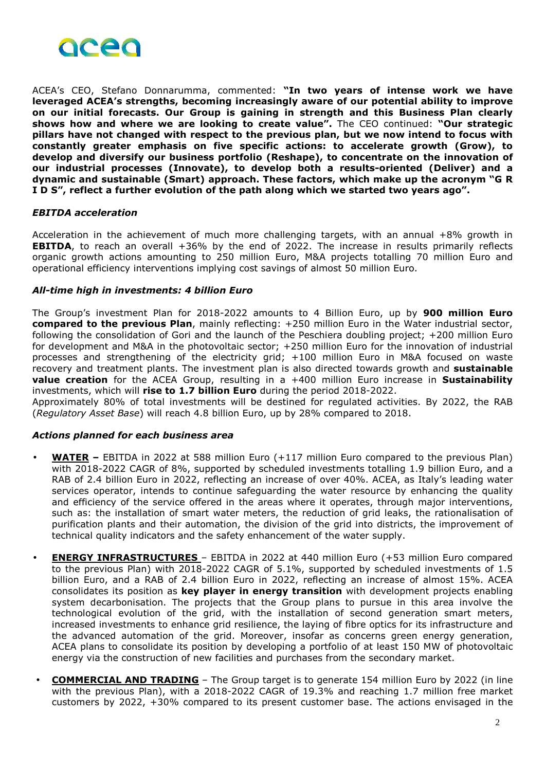

ACEA's CEO, Stefano Donnarumma, commented: **"In two years of intense work we have leveraged ACEA's strengths, becoming increasingly aware of our potential ability to improve on our initial forecasts. Our Group is gaining in strength and this Business Plan clearly shows how and where we are looking to create value".** The CEO continued: **"Our strategic pillars have not changed with respect to the previous plan, but we now intend to focus with constantly greater emphasis on five specific actions: to accelerate growth (Grow), to develop and diversify our business portfolio (Reshape), to concentrate on the innovation of our industrial processes (Innovate), to develop both a results-oriented (Deliver) and a dynamic and sustainable (Smart) approach. These factors, which make up the acronym "G R I D S", reflect a further evolution of the path along which we started two years ago".** 

#### *EBITDA acceleration*

Acceleration in the achievement of much more challenging targets, with an annual +8% growth in **EBITDA**, to reach an overall +36% by the end of 2022. The increase in results primarily reflects organic growth actions amounting to 250 million Euro, M&A projects totalling 70 million Euro and operational efficiency interventions implying cost savings of almost 50 million Euro.

#### *All-time high in investments: 4 billion Euro*

The Group's investment Plan for 2018-2022 amounts to 4 Billion Euro, up by **900 million Euro compared to the previous Plan**, mainly reflecting: +250 million Euro in the Water industrial sector, following the consolidation of Gori and the launch of the Peschiera doubling project; +200 million Euro for development and M&A in the photovoltaic sector; +250 million Euro for the innovation of industrial processes and strengthening of the electricity grid; +100 million Euro in M&A focused on waste recovery and treatment plants. The investment plan is also directed towards growth and **sustainable value creation** for the ACEA Group, resulting in a +400 million Euro increase in **Sustainability** investments, which will **rise to 1.7 billion Euro** during the period 2018-2022.

Approximately 80% of total investments will be destined for regulated activities. By 2022, the RAB (*Regulatory Asset Base*) will reach 4.8 billion Euro, up by 28% compared to 2018.

### *Actions planned for each business area*

- **WATER** EBITDA in 2022 at 588 million Euro (+117 million Euro compared to the previous Plan) with 2018-2022 CAGR of 8%, supported by scheduled investments totalling 1.9 billion Euro, and a RAB of 2.4 billion Euro in 2022, reflecting an increase of over 40%. ACEA, as Italy's leading water services operator, intends to continue safeguarding the water resource by enhancing the quality and efficiency of the service offered in the areas where it operates, through major interventions, such as: the installation of smart water meters, the reduction of grid leaks, the rationalisation of purification plants and their automation, the division of the grid into districts, the improvement of technical quality indicators and the safety enhancement of the water supply.
- **ENERGY INFRASTRUCTURES**  EBITDA in 2022 at 440 million Euro (+53 million Euro compared to the previous Plan) with 2018-2022 CAGR of 5.1%, supported by scheduled investments of 1.5 billion Euro, and a RAB of 2.4 billion Euro in 2022, reflecting an increase of almost 15%. ACEA consolidates its position as **key player in energy transition** with development projects enabling system decarbonisation. The projects that the Group plans to pursue in this area involve the technological evolution of the grid, with the installation of second generation smart meters, increased investments to enhance grid resilience, the laying of fibre optics for its infrastructure and the advanced automation of the grid. Moreover, insofar as concerns green energy generation, ACEA plans to consolidate its position by developing a portfolio of at least 150 MW of photovoltaic energy via the construction of new facilities and purchases from the secondary market.
- **COMMERCIAL AND TRADING** The Group target is to generate 154 million Euro by 2022 (in line with the previous Plan), with a 2018-2022 CAGR of 19.3% and reaching 1.7 million free market customers by 2022, +30% compared to its present customer base. The actions envisaged in the